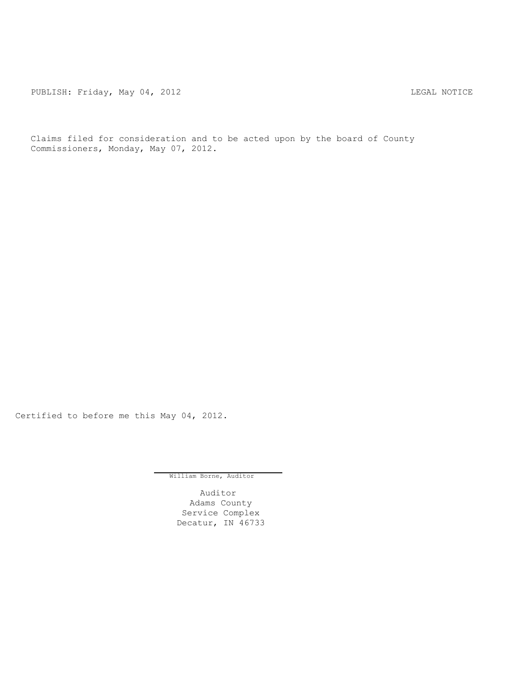PUBLISH: Friday, May 04, 2012 <br>
LEGAL NOTICE

Claims filed for consideration and to be acted upon by the board of County Commissioners, Monday, May 07, 2012.

Certified to before me this May 04, 2012.

William Borne, Auditor

Auditor Adams County Service Complex Decatur, IN 46733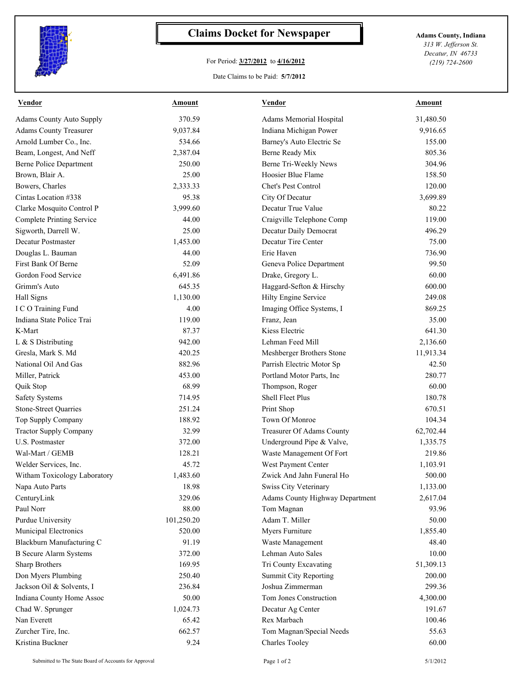

## **Claims Docket for Newspaper Adams County, Indiana**

## For Period: **3/27/2012** to **4/16/2012**

*313 W. Jefferson St. Decatur, IN 46733 (219) 724-2600*

## Date Claims to be Paid: **5/7/2012**

| <u>Vendor</u>                    | <u>Amount</u> | <b>Vendor</b>                   | <b>Amount</b> |
|----------------------------------|---------------|---------------------------------|---------------|
| <b>Adams County Auto Supply</b>  | 370.59        | Adams Memorial Hospital         | 31,480.50     |
| <b>Adams County Treasurer</b>    | 9,037.84      | Indiana Michigan Power          | 9,916.65      |
| Arnold Lumber Co., Inc.          | 534.66        | Barney's Auto Electric Se       | 155.00        |
| Beam, Longest, And Neff          | 2,387.04      | Berne Ready Mix                 | 805.36        |
| <b>Berne Police Department</b>   | 250.00        | Berne Tri-Weekly News           | 304.96        |
| Brown, Blair A.                  | 25.00         | Hoosier Blue Flame              | 158.50        |
| Bowers, Charles                  | 2,333.33      | Chet's Pest Control             | 120.00        |
| Cintas Location #338             | 95.38         | City Of Decatur                 | 3,699.89      |
| Clarke Mosquito Control P        | 3,999.60      | Decatur True Value              | 80.22         |
| <b>Complete Printing Service</b> | 44.00         | Craigville Telephone Comp       | 119.00        |
| Sigworth, Darrell W.             | 25.00         | Decatur Daily Democrat          | 496.29        |
| Decatur Postmaster               | 1,453.00      | Decatur Tire Center             | 75.00         |
| Douglas L. Bauman                | 44.00         | Erie Haven                      | 736.90        |
| First Bank Of Berne              | 52.09         | Geneva Police Department        | 99.50         |
| Gordon Food Service              | 6,491.86      | Drake, Gregory L.               | 60.00         |
| Grimm's Auto                     | 645.35        | Haggard-Sefton & Hirschy        | 600.00        |
| Hall Signs                       | 1,130.00      | Hilty Engine Service            | 249.08        |
| I C O Training Fund              | 4.00          | Imaging Office Systems, I       | 869.25        |
| Indiana State Police Trai        | 119.00        | Franz, Jean                     | 35.00         |
| K-Mart                           | 87.37         | Kiess Electric                  | 641.30        |
| L & S Distributing               | 942.00        | Lehman Feed Mill                | 2,136.60      |
| Gresla, Mark S. Md               | 420.25        | Meshberger Brothers Stone       | 11,913.34     |
| National Oil And Gas             | 882.96        | Parrish Electric Motor Sp       | 42.50         |
| Miller, Patrick                  | 453.00        | Portland Motor Parts, Inc       | 280.77        |
| Quik Stop                        | 68.99         | Thompson, Roger                 | 60.00         |
| <b>Safety Systems</b>            | 714.95        | <b>Shell Fleet Plus</b>         | 180.78        |
| Stone-Street Quarries            | 251.24        | Print Shop                      | 670.51        |
| Top Supply Company               | 188.92        | Town Of Monroe                  | 104.34        |
| <b>Tractor Supply Company</b>    | 32.99         | Treasurer Of Adams County       | 62,702.44     |
| <b>U.S. Postmaster</b>           | 372.00        | Underground Pipe & Valve,       | 1,335.75      |
| Wal-Mart / GEMB                  | 128.21        | Waste Management Of Fort        | 219.86        |
| Welder Services, Inc.            | 45.72         | West Payment Center             | 1,103.91      |
| Witham Toxicology Laboratory     | 1,483.60      | Zwick And Jahn Funeral Ho       | 500.00        |
| Napa Auto Parts                  | 18.98         | Swiss City Veterinary           | 1,133.00      |
| CenturyLink                      | 329.06        | Adams County Highway Department | 2,617.04      |
| Paul Norr                        | 88.00         | Tom Magnan                      | 93.96         |
| <b>Purdue University</b>         | 101,250.20    | Adam T. Miller                  | 50.00         |
| Municipal Electronics            | 520.00        | Myers Furniture                 | 1,855.40      |
| Blackburn Manufacturing C        | 91.19         | Waste Management                | 48.40         |
| <b>B</b> Secure Alarm Systems    | 372.00        | Lehman Auto Sales               | 10.00         |
| <b>Sharp Brothers</b>            | 169.95        | Tri County Excavating           | 51,309.13     |
| Don Myers Plumbing               | 250.40        | Summit City Reporting           | 200.00        |
| Jackson Oil & Solvents, I        |               | Joshua Zimmerman                |               |
|                                  | 236.84        | Tom Jones Construction          | 299.36        |
| Indiana County Home Assoc        | 50.00         |                                 | 4,300.00      |
| Chad W. Sprunger                 | 1,024.73      | Decatur Ag Center               | 191.67        |
| Nan Everett                      | 65.42         | Rex Marbach                     | 100.46        |
| Zurcher Tire, Inc.               | 662.57        | Tom Magnan/Special Needs        | 55.63         |
| Kristina Buckner                 | 9.24          | <b>Charles Tooley</b>           | 60.00         |